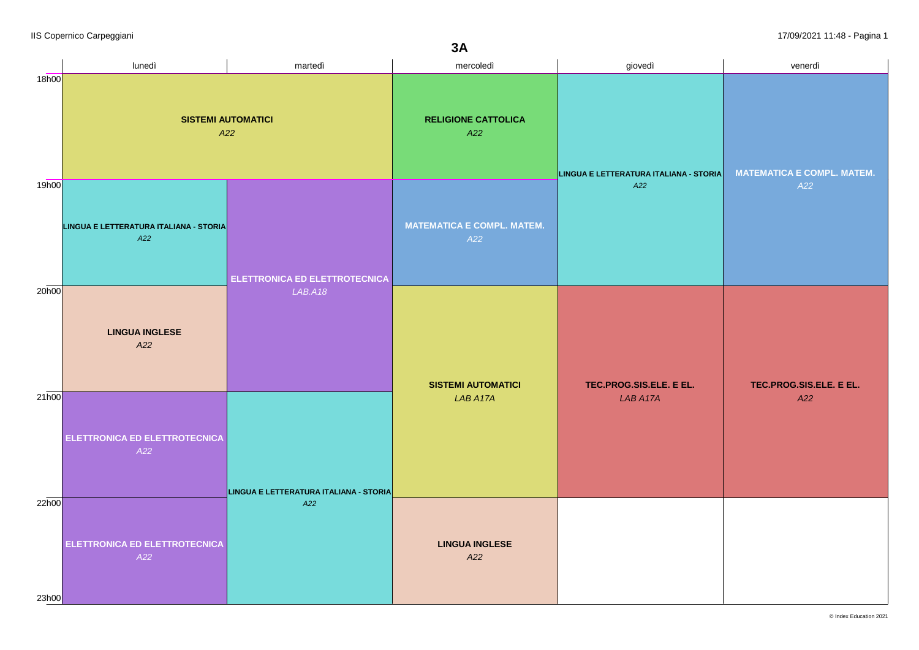|                | lunedì                                        | martedì                                       | mercoledì                                | giovedì                                | venerdì                           |
|----------------|-----------------------------------------------|-----------------------------------------------|------------------------------------------|----------------------------------------|-----------------------------------|
| 18h00          | <b>SISTEMI AUTOMATICI</b><br>A22              |                                               | <b>RELIGIONE CATTOLICA</b><br>A22        | LINGUA E LETTERATURA ITALIANA - STORIA | <b>MATEMATICA E COMPL. MATEM.</b> |
| 19h00          | LINGUA E LETTERATURA ITALIANA - STORIA<br>A22 | <b>ELETTRONICA ED ELETTROTECNICA</b>          | <b>MATEMATICA E COMPL. MATEM.</b><br>A22 | A22                                    | A22                               |
| 20h00          | <b>LINGUA INGLESE</b><br>A22                  | LAB.A18                                       | <b>SISTEMI AUTOMATICI</b><br>LAB A17A    | TEC.PROG.SIS.ELE. E EL.<br>LAB A17A    | TEC.PROG.SIS.ELE. E EL.<br>A22    |
| 21h00          | ELETTRONICA ED ELETTROTECNICA<br>A22          | LINGUA E LETTERATURA ITALIANA - STORIA<br>A22 |                                          |                                        |                                   |
| 22h00<br>23h00 | ELETTRONICA ED ELETTROTECNICA<br>A22          |                                               | <b>LINGUA INGLESE</b><br>A22             |                                        |                                   |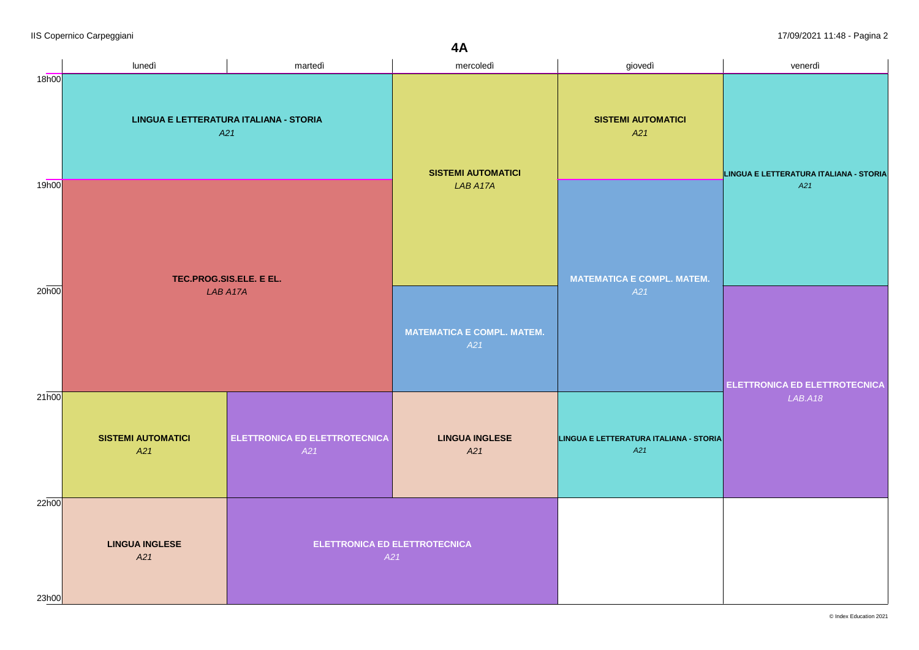|                | lunedì                                                                               | martedì                                     | mercoledì                                | giovedì                                       | venerdì                                     |
|----------------|--------------------------------------------------------------------------------------|---------------------------------------------|------------------------------------------|-----------------------------------------------|---------------------------------------------|
| 18h00          | LINGUA E LETTERATURA ITALIANA - STORIA<br>A21<br>TEC.PROG.SIS.ELE. E EL.<br>LAB A17A |                                             | <b>SISTEMI AUTOMATICI</b><br>LAB A17A    | <b>SISTEMI AUTOMATICI</b><br>A21              | LINGUA E LETTERATURA ITALIANA - STORIA      |
| 19h00          |                                                                                      |                                             |                                          | <b>MATEMATICA E COMPL. MATEM.</b><br>A21      | A21<br><b>ELETTRONICA ED ELETTROTECNICA</b> |
| 20h00          |                                                                                      |                                             | <b>MATEMATICA E COMPL. MATEM.</b><br>A21 |                                               |                                             |
| 21h00          | <b>SISTEMI AUTOMATICI</b><br>A21                                                     | <b>ELETTRONICA ED ELETTROTECNICA</b><br>A21 | <b>LINGUA INGLESE</b><br>A21             | LINGUA E LETTERATURA ITALIANA - STORIA<br>A21 | LAB.A18                                     |
| 22h00<br>23h00 | <b>LINGUA INGLESE</b><br>A21                                                         | <b>ELETTRONICA ED ELETTROTECNICA</b><br>A21 |                                          |                                               |                                             |